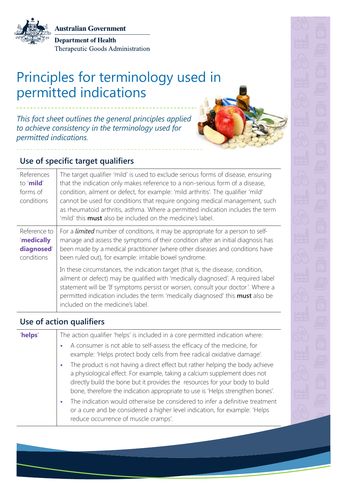**Australian Government** 

**Department of Health** Therapeutic Goods Administration

# Principles for terminology used in permitted indications

*This fact sheet outlines the general principles applied to achieve consistency in the terminology used for permitted indications.*



### **Use of specific target qualifiers**

| References<br>to ' <b>mild</b> '<br>forms of<br>conditions | The target qualifier 'mild' is used to exclude serious forms of disease, ensuring<br>that the indication only makes reference to a non-serious form of a disease,<br>condition, ailment or defect, for example: 'mild arthritis'. The qualifier 'mild'<br>cannot be used for conditions that require ongoing medical management, such<br>as rheumatoid arthritis, asthma. Where a permitted indication includes the term<br>'mild' this <b>must</b> also be included on the medicine's label. |
|------------------------------------------------------------|-----------------------------------------------------------------------------------------------------------------------------------------------------------------------------------------------------------------------------------------------------------------------------------------------------------------------------------------------------------------------------------------------------------------------------------------------------------------------------------------------|
| Reference to<br>'medically<br>diagnosed'<br>conditions     | For a <i>limited</i> number of conditions, it may be appropriate for a person to self-<br>manage and assess the symptoms of their condition after an initial diagnosis has<br>been made by a medical practitioner (where other diseases and conditions have<br>been ruled out), for example: irritable bowel syndrome.                                                                                                                                                                        |
|                                                            | In these circumstances, the indication target (that is, the disease, condition,<br>ailment or defect) may be qualified with 'medically diagnosed'. A required label<br>statement will be 'If symptoms persist or worsen, consult your doctor'. Where a<br>permitted indication includes the term 'medically diagnosed' this <b>must</b> also be<br>included on the medicine's label.                                                                                                          |

#### **Use of action qualifiers**

| 'helps' | The action qualifier 'helps' is included in a core permitted indication where:                                                                                                                                                                                                                                               |
|---------|------------------------------------------------------------------------------------------------------------------------------------------------------------------------------------------------------------------------------------------------------------------------------------------------------------------------------|
|         | A consumer is not able to self-assess the efficacy of the medicine, for<br>example: 'Helps protect body cells from free radical oxidative damage'.                                                                                                                                                                           |
|         | The product is not having a direct effect but rather helping the body achieve<br>a physiological effect. For example, taking a calcium supplement does not<br>directly build the bone but it provides the resources for your body to build<br>bone, therefore the indication appropriate to use is 'Helps strengthen bones'. |
|         | The indication would otherwise be considered to infer a definitive treatment<br>or a cure and be considered a higher level indication, for example: 'Helps<br>reduce occurrence of muscle cramps'.                                                                                                                           |